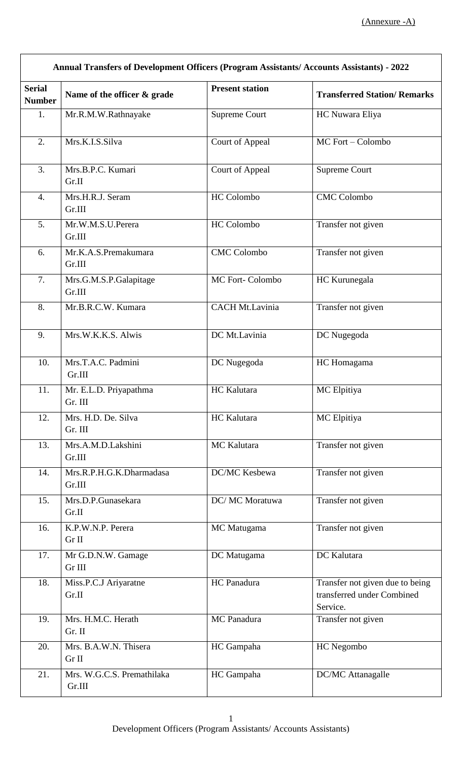| <b>Annual Transfers of Development Officers (Program Assistants/ Accounts Assistants) - 2022</b> |                                      |                        |                                                                           |
|--------------------------------------------------------------------------------------------------|--------------------------------------|------------------------|---------------------------------------------------------------------------|
| <b>Serial</b><br><b>Number</b>                                                                   | Name of the officer & grade          | <b>Present station</b> | <b>Transferred Station/ Remarks</b>                                       |
| 1.                                                                                               | Mr.R.M.W.Rathnayake                  | Supreme Court          | HC Nuwara Eliya                                                           |
| 2.                                                                                               | Mrs.K.I.S.Silva                      | Court of Appeal        | MC Fort - Colombo                                                         |
| 3.                                                                                               | Mrs.B.P.C. Kumari<br>Gr.II           | Court of Appeal        | Supreme Court                                                             |
| $\overline{4}$ .                                                                                 | Mrs.H.R.J. Seram<br>Gr.III           | HC Colombo             | <b>CMC</b> Colombo                                                        |
| 5.                                                                                               | Mr.W.M.S.U.Perera<br>Gr.III          | <b>HC</b> Colombo      | Transfer not given                                                        |
| 6.                                                                                               | Mr.K.A.S.Premakumara<br>Gr.III       | <b>CMC</b> Colombo     | Transfer not given                                                        |
| 7.                                                                                               | Mrs.G.M.S.P.Galapitage<br>Gr.III     | MC Fort-Colombo        | HC Kurunegala                                                             |
| 8.                                                                                               | Mr.B.R.C.W. Kumara                   | <b>CACH Mt.Lavinia</b> | Transfer not given                                                        |
| 9.                                                                                               | Mrs.W.K.K.S. Alwis                   | DC Mt.Lavinia          | DC Nugegoda                                                               |
| 10.                                                                                              | Mrs.T.A.C. Padmini<br>Gr.III         | DC Nugegoda            | HC Homagama                                                               |
| 11.                                                                                              | Mr. E.L.D. Priyapathma<br>Gr. III    | HC Kalutara            | MC Elpitiya                                                               |
| 12.                                                                                              | Mrs. H.D. De. Silva<br>Gr. III       | HC Kalutara            | MC Elpitiya                                                               |
| 13.                                                                                              | Mrs.A.M.D.Lakshini<br>Gr.III         | MC Kalutara            | Transfer not given                                                        |
| 14.                                                                                              | Mrs.R.P.H.G.K.Dharmadasa<br>Gr.III   | DC/MC Kesbewa          | Transfer not given                                                        |
| 15.                                                                                              | Mrs.D.P.Gunasekara<br>Gr.II          | DC/ MC Moratuwa        | Transfer not given                                                        |
| 16.                                                                                              | K.P.W.N.P. Perera<br>Gr II           | MC Matugama            | Transfer not given                                                        |
| 17.                                                                                              | Mr G.D.N.W. Gamage<br>Gr III         | DC Matugama            | DC Kalutara                                                               |
| 18.                                                                                              | Miss.P.C.J Ariyaratne<br>Gr.II       | HC Panadura            | Transfer not given due to being<br>transferred under Combined<br>Service. |
| 19.                                                                                              | Mrs. H.M.C. Herath<br>Gr. II         | MC Panadura            | Transfer not given                                                        |
| 20.                                                                                              | Mrs. B.A.W.N. Thisera<br>Gr II       | HC Gampaha             | HC Negombo                                                                |
| 21.                                                                                              | Mrs. W.G.C.S. Premathilaka<br>Gr.III | HC Gampaha             | DC/MC Attanagalle                                                         |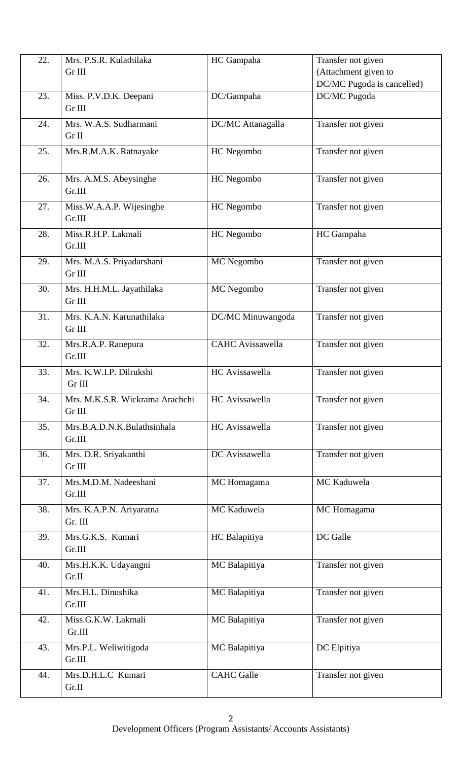| 22. | Mrs. P.S.R. Kulathilaka         | HC Gampaha              | Transfer not given         |
|-----|---------------------------------|-------------------------|----------------------------|
|     | Gr III                          |                         | (Attachment given to       |
|     |                                 |                         | DC/MC Pugoda is cancelled) |
| 23. | Miss. P.V.D.K. Deepani          | DC/Gampaha              | DC/MC Pugoda               |
|     | Gr III                          |                         |                            |
|     |                                 |                         |                            |
| 24. | Mrs. W.A.S. Sudharmani          | DC/MC Attanagalla       | Transfer not given         |
|     | Gr II                           |                         |                            |
| 25. | Mrs.R.M.A.K. Ratnayake          | HC Negombo              | Transfer not given         |
|     |                                 |                         |                            |
|     |                                 |                         |                            |
| 26. | Mrs. A.M.S. Abeysinghe          | HC Negombo              | Transfer not given         |
|     | Gr.III                          |                         |                            |
| 27. | Miss.W.A.A.P. Wijesinghe        | HC Negombo              | Transfer not given         |
|     | Gr.III                          |                         |                            |
|     | Miss.R.H.P. Lakmali             |                         |                            |
| 28. |                                 | HC Negombo              | HC Gampaha                 |
|     | Gr.III                          |                         |                            |
| 29. | Mrs. M.A.S. Priyadarshani       | MC Negombo              | Transfer not given         |
|     | Gr III                          |                         |                            |
| 30. | Mrs. H.H.M.L. Jayathilaka       | MC Negombo              | Transfer not given         |
|     | Gr III                          |                         |                            |
|     |                                 |                         |                            |
| 31. | Mrs. K.A.N. Karunathilaka       | DC/MC Minuwangoda       | Transfer not given         |
|     | Gr III                          |                         |                            |
| 32. | Mrs.R.A.P. Ranepura             | <b>CAHC</b> Avissawella | Transfer not given         |
|     | Gr.III                          |                         |                            |
|     |                                 |                         |                            |
| 33. | Mrs. K.W.I.P. Dilrukshi         | HC Avissawella          | Transfer not given         |
|     | Gr III                          |                         |                            |
| 34. | Mrs. M.K.S.R. Wickrama Arachchi | HC Avissawella          | Transfer not given         |
|     | Gr III                          |                         |                            |
| 35. | Mrs.B.A.D.N.K.Bulathsinhala     | HC Avissawella          | Transfer not given         |
|     | Gr.III                          |                         |                            |
|     |                                 |                         |                            |
| 36. | Mrs. D.R. Sriyakanthi           | DC Avissawella          | Transfer not given         |
|     | Gr III                          |                         |                            |
| 37. | Mrs.M.D.M. Nadeeshani           | MC Homagama             | MC Kaduwela                |
|     | Gr.III                          |                         |                            |
|     |                                 |                         |                            |
| 38. | Mrs. K.A.P.N. Ariyaratna        | MC Kaduwela             | MC Homagama                |
|     | Gr. III                         |                         |                            |
| 39. | Mrs.G.K.S. Kumari               | HC Balapitiya           | DC Galle                   |
|     | Gr.III                          |                         |                            |
| 40. | Mrs.H.K.K. Udayangni            | MC Balapitiya           | Transfer not given         |
|     | Gr.II                           |                         |                            |
|     |                                 |                         |                            |
| 41. | Mrs.H.L. Dinushika              | MC Balapitiya           | Transfer not given         |
|     | Gr.III                          |                         |                            |
| 42. | Miss.G.K.W. Lakmali             | MC Balapitiya           | Transfer not given         |
|     | Gr.III                          |                         |                            |
|     |                                 |                         |                            |
| 43. | Mrs.P.L. Weliwitigoda           | MC Balapitiya           | DC Elpitiya                |
|     | Gr.III                          |                         |                            |
| 44. | Mrs.D.H.L.C Kumari              | <b>CAHC</b> Galle       | Transfer not given         |
|     | Gr.II                           |                         |                            |
|     |                                 |                         |                            |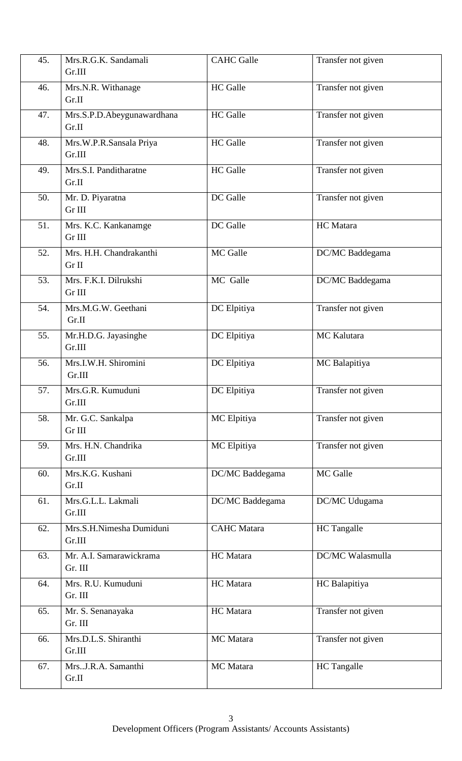| 45. | Mrs.R.G.K. Sandamali<br>Gr.III      | <b>CAHC</b> Galle  | Transfer not given |
|-----|-------------------------------------|--------------------|--------------------|
| 46. | Mrs.N.R. Withanage<br>Gr.II         | <b>HC</b> Galle    | Transfer not given |
| 47. | Mrs.S.P.D.Abeygunawardhana<br>Gr.II | <b>HC</b> Galle    | Transfer not given |
| 48. | Mrs.W.P.R.Sansala Priya<br>Gr.III   | <b>HC</b> Galle    | Transfer not given |
| 49. | Mrs.S.I. Panditharatne<br>Gr.II     | <b>HC</b> Galle    | Transfer not given |
| 50. | Mr. D. Piyaratna<br>Gr III          | DC Galle           | Transfer not given |
| 51. | Mrs. K.C. Kankanamge<br>Gr III      | DC Galle           | HC Matara          |
| 52. | Mrs. H.H. Chandrakanthi<br>Gr II    | MC Galle           | DC/MC Baddegama    |
| 53. | Mrs. F.K.I. Dilrukshi<br>Gr III     | MC Galle           | DC/MC Baddegama    |
| 54. | Mrs.M.G.W. Geethani<br>Gr.II        | DC Elpitiya        | Transfer not given |
| 55. | Mr.H.D.G. Jayasinghe<br>Gr.III      | DC Elpitiya        | MC Kalutara        |
| 56. | Mrs.I.W.H. Shiromini<br>Gr.III      | DC Elpitiya        | MC Balapitiya      |
| 57. | Mrs.G.R. Kumuduni<br>Gr.III         | DC Elpitiya        | Transfer not given |
| 58. | Mr. G.C. Sankalpa<br>Gr III         | MC Elpitiya        | Transfer not given |
| 59. | Mrs. H.N. Chandrika<br>Gr.III       | MC Elpitiya        | Transfer not given |
| 60. | Mrs.K.G. Kushani<br>Gr.II           | DC/MC Baddegama    | MC Galle           |
| 61. | Mrs.G.L.L. Lakmali<br>Gr.III        | DC/MC Baddegama    | DC/MC Udugama      |
| 62. | Mrs.S.H.Nimesha Dumiduni<br>Gr.III  | <b>CAHC</b> Matara | HC Tangalle        |
| 63. | Mr. A.I. Samarawickrama<br>Gr. III  | HC Matara          | DC/MC Walasmulla   |
| 64. | Mrs. R.U. Kumuduni<br>Gr. III       | HC Matara          | HC Balapitiya      |
| 65. | Mr. S. Senanayaka<br>Gr. III        | HC Matara          | Transfer not given |
| 66. | Mrs.D.L.S. Shiranthi<br>Gr.III      | MC Matara          | Transfer not given |
| 67. | Mrs.J.R.A. Samanthi<br>Gr.II        | MC Matara          | <b>HC</b> Tangalle |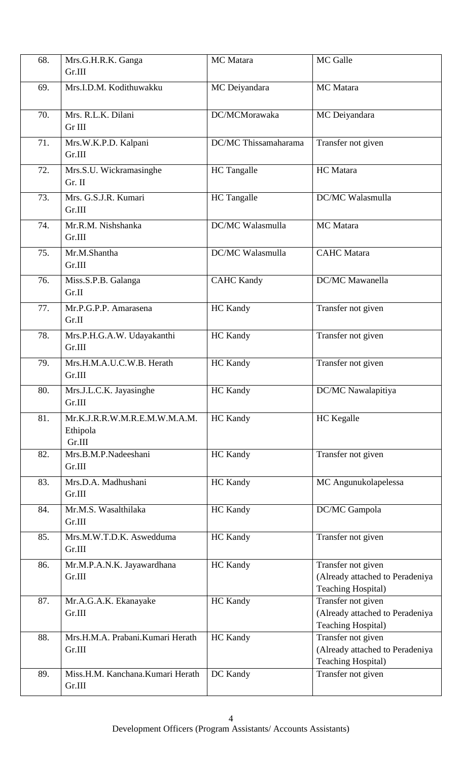| 68. | Mrs.G.H.R.K. Ganga<br>Gr.III                        | MC Matara            | MC Galle                                                                           |
|-----|-----------------------------------------------------|----------------------|------------------------------------------------------------------------------------|
| 69. | Mrs.I.D.M. Kodithuwakku                             | MC Deiyandara        | MC Matara                                                                          |
| 70. | Mrs. R.L.K. Dilani<br>Gr III                        | DC/MCMorawaka        | MC Deiyandara                                                                      |
| 71. | Mrs.W.K.P.D. Kalpani<br>Gr.III                      | DC/MC Thissamaharama | Transfer not given                                                                 |
| 72. | Mrs.S.U. Wickramasinghe<br>Gr. II                   | <b>HC</b> Tangalle   | HC Matara                                                                          |
| 73. | Mrs. G.S.J.R. Kumari<br>Gr.III                      | HC Tangalle          | DC/MC Walasmulla                                                                   |
| 74. | Mr.R.M. Nishshanka<br>Gr.III                        | DC/MC Walasmulla     | MC Matara                                                                          |
| 75. | Mr.M.Shantha<br>Gr.III                              | DC/MC Walasmulla     | <b>CAHC</b> Matara                                                                 |
| 76. | Miss.S.P.B. Galanga<br>Gr.II                        | <b>CAHC Kandy</b>    | DC/MC Mawanella                                                                    |
| 77. | Mr.P.G.P.P. Amarasena<br>Gr.II                      | <b>HC Kandy</b>      | Transfer not given                                                                 |
| 78. | Mrs.P.H.G.A.W. Udayakanthi<br>Gr.III                | <b>HC Kandy</b>      | Transfer not given                                                                 |
| 79. | Mrs.H.M.A.U.C.W.B. Herath<br>Gr.III                 | <b>HC Kandy</b>      | Transfer not given                                                                 |
| 80. | Mrs.J.L.C.K. Jayasinghe<br>Gr.III                   | HC Kandy             | DC/MC Nawalapitiya                                                                 |
| 81. | Mr.K.J.R.R.W.M.R.E.M.W.M.A.M.<br>Ethipola<br>Gr.III | <b>HC</b> Kandy      | <b>HC</b> Kegalle                                                                  |
| 82. | Mrs.B.M.P.Nadeeshani<br>Gr.III                      | <b>HC</b> Kandy      | Transfer not given                                                                 |
| 83. | Mrs.D.A. Madhushani<br>Gr.III                       | <b>HC</b> Kandy      | MC Angunukolapelessa                                                               |
| 84. | Mr.M.S. Wasalthilaka<br>Gr.III                      | <b>HC</b> Kandy      | DC/MC Gampola                                                                      |
| 85. | Mrs.M.W.T.D.K. Aswedduma<br>Gr.III                  | HC Kandy             | Transfer not given                                                                 |
| 86. | Mr.M.P.A.N.K. Jayawardhana<br>Gr.III                | <b>HC Kandy</b>      | Transfer not given<br>(Already attached to Peradeniya<br><b>Teaching Hospital)</b> |
| 87. | Mr.A.G.A.K. Ekanayake<br>Gr.III                     | <b>HC Kandy</b>      | Transfer not given<br>(Already attached to Peradeniya<br><b>Teaching Hospital)</b> |
| 88. | Mrs.H.M.A. Prabani.Kumari Herath<br>Gr.III          | <b>HC</b> Kandy      | Transfer not given<br>(Already attached to Peradeniya<br><b>Teaching Hospital)</b> |
| 89. | Miss.H.M. Kanchana.Kumari Herath<br>Gr.III          | DC Kandy             | Transfer not given                                                                 |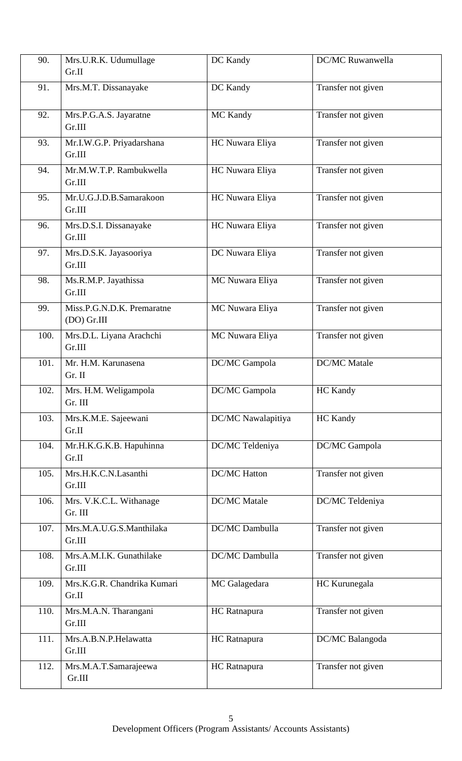| 90.  | Mrs.U.R.K. Udumullage                       | DC Kandy            | <b>DC/MC</b> Ruwanwella |
|------|---------------------------------------------|---------------------|-------------------------|
|      | Gr.II                                       |                     |                         |
| 91.  | Mrs.M.T. Dissanayake                        | DC Kandy            | Transfer not given      |
| 92.  | Mrs.P.G.A.S. Jayaratne<br>Gr.III            | MC Kandy            | Transfer not given      |
| 93.  | Mr.I.W.G.P. Priyadarshana<br>Gr.III         | HC Nuwara Eliya     | Transfer not given      |
| 94.  | Mr.M.W.T.P. Rambukwella<br>Gr.III           | HC Nuwara Eliya     | Transfer not given      |
| 95.  | Mr.U.G.J.D.B.Samarakoon<br>Gr.III           | HC Nuwara Eliya     | Transfer not given      |
| 96.  | Mrs.D.S.I. Dissanayake<br>Gr.III            | HC Nuwara Eliya     | Transfer not given      |
| 97.  | Mrs.D.S.K. Jayasooriya<br>Gr.III            | DC Nuwara Eliya     | Transfer not given      |
| 98.  | Ms.R.M.P. Jayathissa<br>Gr.III              | MC Nuwara Eliya     | Transfer not given      |
| 99.  | Miss.P.G.N.D.K. Premaratne<br>$(DO)$ Gr.III | MC Nuwara Eliya     | Transfer not given      |
| 100. | Mrs.D.L. Liyana Arachchi<br>Gr.III          | MC Nuwara Eliya     | Transfer not given      |
| 101. | Mr. H.M. Karunasena<br>Gr. II               | DC/MC Gampola       | <b>DC/MC</b> Matale     |
| 102. | Mrs. H.M. Weligampola<br>Gr. III            | DC/MC Gampola       | <b>HC Kandy</b>         |
| 103. | Mrs.K.M.E. Sajeewani<br>Gr.II               | DC/MC Nawalapitiya  | HC Kandy                |
| 104. | Mr.H.K.G.K.B. Hapuhinna<br>Gr.II            | DC/MC Teldeniya     | DC/MC Gampola           |
| 105. | Mrs.H.K.C.N.Lasanthi<br>Gr.III              | <b>DC/MC</b> Hatton | Transfer not given      |
| 106. | Mrs. V.K.C.L. Withanage<br>Gr. III          | <b>DC/MC</b> Matale | DC/MC Teldeniya         |
| 107. | Mrs.M.A.U.G.S.Manthilaka<br>Gr.III          | DC/MC Dambulla      | Transfer not given      |
| 108. | Mrs.A.M.I.K. Gunathilake<br>Gr.III          | DC/MC Dambulla      | Transfer not given      |
| 109. | Mrs.K.G.R. Chandrika Kumari<br>Gr.II        | MC Galagedara       | HC Kurunegala           |
| 110. | Mrs.M.A.N. Tharangani<br>Gr.III             | HC Ratnapura        | Transfer not given      |
| 111. | Mrs.A.B.N.P.Helawatta<br>Gr.III             | HC Ratnapura        | DC/MC Balangoda         |
| 112. | Mrs.M.A.T.Samarajeewa<br>Gr.III             | HC Ratnapura        | Transfer not given      |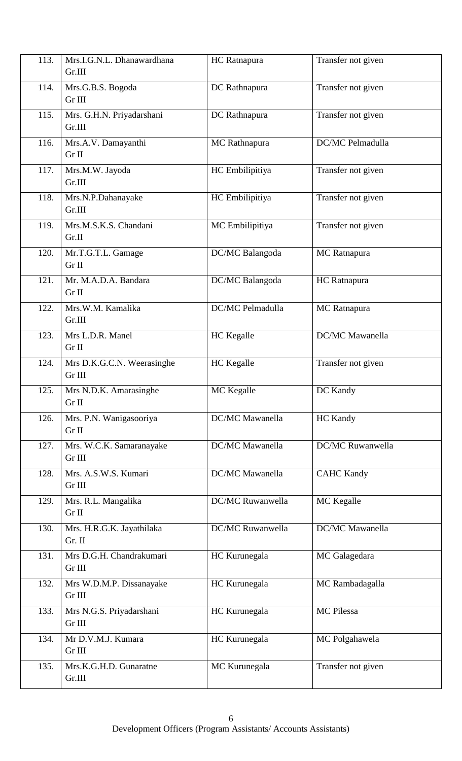| 113. | Mrs.I.G.N.L. Dhanawardhana<br>Gr.III | HC Ratnapura     | Transfer not given     |
|------|--------------------------------------|------------------|------------------------|
| 114. | Mrs.G.B.S. Bogoda<br>Gr III          | DC Rathnapura    | Transfer not given     |
| 115. | Mrs. G.H.N. Priyadarshani<br>Gr.III  | DC Rathnapura    | Transfer not given     |
| 116. | Mrs.A.V. Damayanthi<br>Gr II         | MC Rathnapura    | DC/MC Pelmadulla       |
| 117. | Mrs.M.W. Jayoda<br>Gr.III            | HC Embilipitiya  | Transfer not given     |
| 118. | Mrs.N.P.Dahanayake<br>Gr.III         | HC Embilipitiya  | Transfer not given     |
| 119. | Mrs.M.S.K.S. Chandani<br>Gr.II       | MC Embilipitiya  | Transfer not given     |
| 120. | Mr.T.G.T.L. Gamage<br>Gr II          | DC/MC Balangoda  | MC Ratnapura           |
| 121. | Mr. M.A.D.A. Bandara<br>Gr II        | DC/MC Balangoda  | HC Ratnapura           |
| 122. | Mrs.W.M. Kamalika<br>Gr.III          | DC/MC Pelmadulla | MC Ratnapura           |
| 123. | Mrs L.D.R. Manel<br>Gr II            | HC Kegalle       | <b>DC/MC</b> Mawanella |
| 124. | Mrs D.K.G.C.N. Weerasinghe<br>Gr III | HC Kegalle       | Transfer not given     |
| 125. | Mrs N.D.K. Amarasinghe<br>Gr II      | MC Kegalle       | DC Kandy               |
| 126. | Mrs. P.N. Wanigasooriya<br>Gr II     | DC/MC Mawanella  | HC Kandy               |
| 127. | Mrs. W.C.K. Samaranayake<br>Gr III   | DC/MC Mawanella  | DC/MC Ruwanwella       |
| 128. | Mrs. A.S.W.S. Kumari<br>Gr III       | DC/MC Mawanella  | <b>CAHC Kandy</b>      |
| 129. | Mrs. R.L. Mangalika<br>Gr II         | DC/MC Ruwanwella | MC Kegalle             |
| 130. | Mrs. H.R.G.K. Jayathilaka<br>Gr. II  | DC/MC Ruwanwella | <b>DC/MC</b> Mawanella |
| 131. | Mrs D.G.H. Chandrakumari<br>Gr III   | HC Kurunegala    | MC Galagedara          |
| 132. | Mrs W.D.M.P. Dissanayake<br>Gr III   | HC Kurunegala    | MC Rambadagalla        |
| 133. | Mrs N.G.S. Priyadarshani<br>Gr III   | HC Kurunegala    | <b>MC</b> Pilessa      |
| 134. | Mr D.V.M.J. Kumara<br>Gr III         | HC Kurunegala    | MC Polgahawela         |
| 135. | Mrs.K.G.H.D. Gunaratne<br>Gr.III     | MC Kurunegala    | Transfer not given     |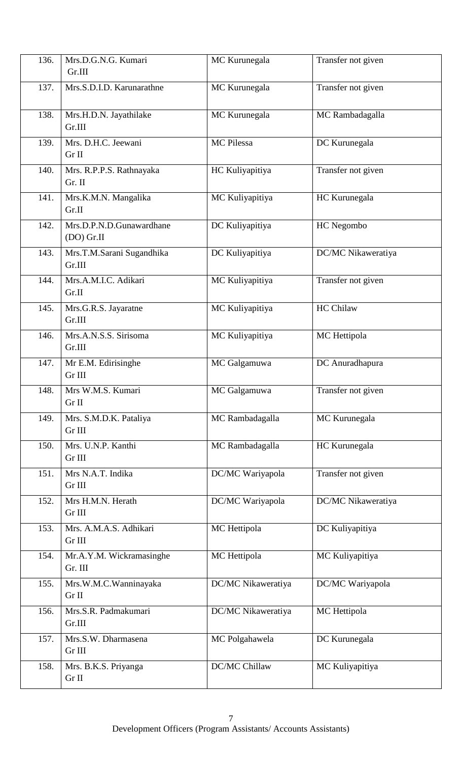| 136. | Mrs.D.G.N.G. Kumari<br>Gr.III            | MC Kurunegala      | Transfer not given |
|------|------------------------------------------|--------------------|--------------------|
| 137. | Mrs.S.D.I.D. Karunarathne                | MC Kurunegala      | Transfer not given |
| 138. | Mrs.H.D.N. Jayathilake<br>Gr.III         | MC Kurunegala      | MC Rambadagalla    |
| 139. | Mrs. D.H.C. Jeewani<br>Gr II             | MC Pilessa         | DC Kurunegala      |
| 140. | Mrs. R.P.P.S. Rathnayaka<br>Gr. II       | HC Kuliyapitiya    | Transfer not given |
| 141. | Mrs.K.M.N. Mangalika<br>Gr.II            | MC Kuliyapitiya    | HC Kurunegala      |
| 142. | Mrs.D.P.N.D.Gunawardhane<br>$(DO)$ Gr.II | DC Kuliyapitiya    | HC Negombo         |
| 143. | Mrs.T.M.Sarani Sugandhika<br>Gr.III      | DC Kuliyapitiya    | DC/MC Nikaweratiya |
| 144. | Mrs.A.M.I.C. Adikari<br>Gr.II            | MC Kuliyapitiya    | Transfer not given |
| 145. | Mrs.G.R.S. Jayaratne<br>Gr.III           | MC Kuliyapitiya    | <b>HC Chilaw</b>   |
| 146. | Mrs.A.N.S.S. Sirisoma<br>Gr.III          | MC Kuliyapitiya    | MC Hettipola       |
| 147. | Mr E.M. Edirisinghe<br>Gr III            | MC Galgamuwa       | DC Anuradhapura    |
| 148. | Mrs W.M.S. Kumari<br>Gr II               | MC Galgamuwa       | Transfer not given |
| 149. | Mrs. S.M.D.K. Pataliya<br>Gr III         | MC Rambadagalla    | MC Kurunegala      |
| 150. | Mrs. U.N.P. Kanthi<br>Gr III             | MC Rambadagalla    | HC Kurunegala      |
| 151. | Mrs N.A.T. Indika<br>Gr III              | DC/MC Wariyapola   | Transfer not given |
| 152. | Mrs H.M.N. Herath<br>Gr III              | DC/MC Wariyapola   | DC/MC Nikaweratiya |
| 153. | Mrs. A.M.A.S. Adhikari<br>Gr III         | MC Hettipola       | DC Kuliyapitiya    |
| 154. | Mr.A.Y.M. Wickramasinghe<br>Gr. III      | MC Hettipola       | MC Kuliyapitiya    |
| 155. | Mrs.W.M.C.Wanninayaka<br>Gr II           | DC/MC Nikaweratiya | DC/MC Wariyapola   |
| 156. | Mrs.S.R. Padmakumari<br>Gr.III           | DC/MC Nikaweratiya | MC Hettipola       |
| 157. | Mrs.S.W. Dharmasena<br>Gr III            | MC Polgahawela     | DC Kurunegala      |
| 158. | Mrs. B.K.S. Priyanga<br>Gr II            | DC/MC Chillaw      | MC Kuliyapitiya    |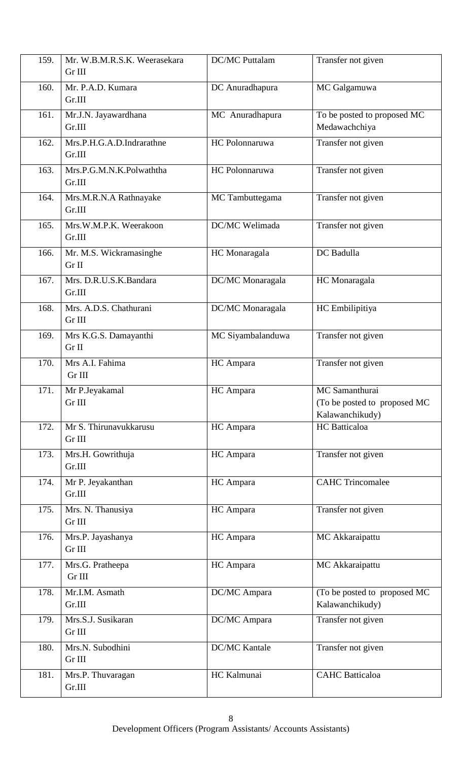| 159. | Mr. W.B.M.R.S.K. Weerasekara        | <b>DC/MC</b> Puttalam | Transfer not given                                                 |
|------|-------------------------------------|-----------------------|--------------------------------------------------------------------|
|      | Gr III                              |                       |                                                                    |
| 160. | Mr. P.A.D. Kumara<br>Gr.III         | DC Anuradhapura       | MC Galgamuwa                                                       |
| 161. | Mr.J.N. Jayawardhana<br>Gr.III      | MC Anuradhapura       | To be posted to proposed MC<br>Medawachchiya                       |
| 162. | Mrs.P.H.G.A.D.Indrarathne<br>Gr.III | HC Polonnaruwa        | Transfer not given                                                 |
| 163. | Mrs.P.G.M.N.K.Polwaththa<br>Gr.III  | HC Polonnaruwa        | Transfer not given                                                 |
| 164. | Mrs.M.R.N.A Rathnayake<br>Gr.III    | MC Tambuttegama       | Transfer not given                                                 |
| 165. | Mrs.W.M.P.K. Weerakoon<br>Gr.III    | DC/MC Welimada        | Transfer not given                                                 |
| 166. | Mr. M.S. Wickramasinghe<br>Gr II    | HC Monaragala         | DC Badulla                                                         |
| 167. | Mrs. D.R.U.S.K.Bandara<br>Gr.III    | DC/MC Monaragala      | HC Monaragala                                                      |
| 168. | Mrs. A.D.S. Chathurani<br>Gr III    | DC/MC Monaragala      | HC Embilipitiya                                                    |
| 169. | Mrs K.G.S. Damayanthi<br>Gr II      | MC Siyambalanduwa     | Transfer not given                                                 |
| 170. | Mrs A.I. Fahima<br>$Gr$ III         | HC Ampara             | Transfer not given                                                 |
| 171. | Mr P.Jeyakamal<br>Gr III            | HC Ampara             | MC Samanthurai<br>(To be posted to proposed MC)<br>Kalawanchikudy) |
| 172. | Mr S. Thirunavukkarusu<br>Gr III    | HC Ampara             | HC Batticaloa                                                      |
| 173. | Mrs.H. Gowrithuja<br>Gr.III         | HC Ampara             | Transfer not given                                                 |
| 174. | Mr P. Jeyakanthan<br>Gr.III         | HC Ampara             | <b>CAHC Trincomalee</b>                                            |
| 175. | Mrs. N. Thanusiya<br>Gr III         | HC Ampara             | Transfer not given                                                 |
| 176. | Mrs.P. Jayashanya<br>Gr III         | HC Ampara             | MC Akkaraipattu                                                    |
| 177. | Mrs.G. Pratheepa<br>Gr III          | HC Ampara             | MC Akkaraipattu                                                    |
| 178. | Mr.I.M. Asmath<br>Gr.III            | DC/MC Ampara          | (To be posted to proposed MC)<br>Kalawanchikudy)                   |
| 179. | Mrs.S.J. Susikaran<br>Gr III        | DC/MC Ampara          | Transfer not given                                                 |
| 180. | Mrs.N. Subodhini<br>Gr III          | <b>DC/MC Kantale</b>  | Transfer not given                                                 |
| 181. | Mrs.P. Thuvaragan<br>Gr.III         | HC Kalmunai           | <b>CAHC</b> Batticaloa                                             |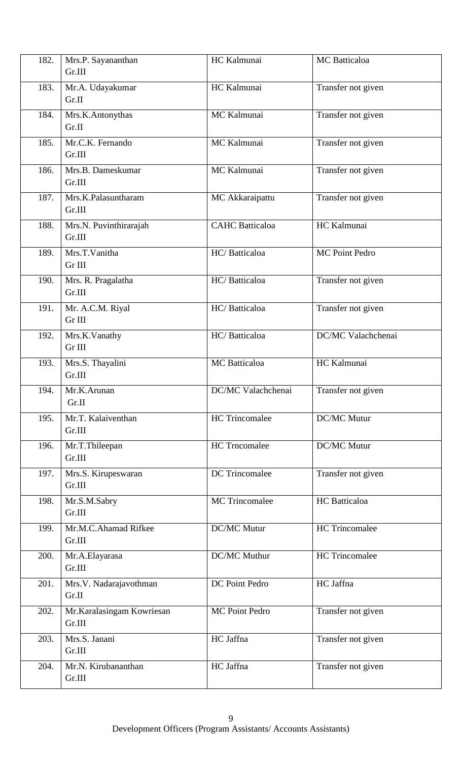| 182. | Mrs.P. Sayananthan                  | HC Kalmunai            | MC Batticaloa         |
|------|-------------------------------------|------------------------|-----------------------|
|      | Gr.III                              |                        |                       |
| 183. | Mr.A. Udayakumar<br>Gr.II           | HC Kalmunai            | Transfer not given    |
| 184. | Mrs.K.Antonythas<br>Gr.II           | MC Kalmunai            | Transfer not given    |
| 185. | Mr.C.K. Fernando<br>Gr.III          | MC Kalmunai            | Transfer not given    |
| 186. | Mrs.B. Dameskumar<br>Gr.III         | MC Kalmunai            | Transfer not given    |
| 187. | Mrs.K.Palasuntharam<br>Gr.III       | MC Akkaraipattu        | Transfer not given    |
| 188. | Mrs.N. Puvinthirarajah<br>Gr.III    | <b>CAHC</b> Batticaloa | HC Kalmunai           |
| 189. | Mrs.T.Vanitha<br>Gr III             | HC/Batticaloa          | MC Point Pedro        |
| 190. | Mrs. R. Pragalatha<br>Gr.III        | HC/Batticaloa          | Transfer not given    |
| 191. | Mr. A.C.M. Riyal<br>Gr III          | HC/Batticaloa          | Transfer not given    |
| 192. | Mrs.K.Vanathy<br>Gr III             | HC/Batticaloa          | DC/MC Valachchenai    |
| 193. | Mrs.S. Thayalini<br>Gr.III          | <b>MC</b> Batticaloa   | HC Kalmunai           |
| 194. | Mr.K.Arunan<br>Gr.II                | DC/MC Valachchenai     | Transfer not given    |
| 195. | Mr.T. Kalaiventhan<br>Gr.III        | <b>HC</b> Trincomalee  | <b>DC/MC Mutur</b>    |
| 196. | Mr.T.Thileepan<br>Gr.III            | <b>HC</b> Trncomalee   | <b>DC/MC Mutur</b>    |
| 197. | Mrs.S. Kirupeswaran<br>Gr.III       | <b>DC</b> Trincomalee  | Transfer not given    |
| 198. | Mr.S.M.Sabry<br>Gr.III              | <b>MC</b> Trincomalee  | HC Batticaloa         |
| 199. | Mr.M.C.Ahamad Rifkee<br>Gr.III      | DC/MC Mutur            | <b>HC</b> Trincomalee |
| 200. | Mr.A.Elayarasa<br>Gr.III            | DC/MC Muthur           | <b>HC</b> Trincomalee |
| 201. | Mrs.V. Nadarajavothman<br>Gr.II     | DC Point Pedro         | HC Jaffna             |
| 202. | Mr.Karalasingam Kowriesan<br>Gr.III | MC Point Pedro         | Transfer not given    |
| 203. | Mrs.S. Janani<br>Gr.III             | HC Jaffna              | Transfer not given    |
| 204. | Mr.N. Kirubananthan<br>Gr.III       | HC Jaffna              | Transfer not given    |